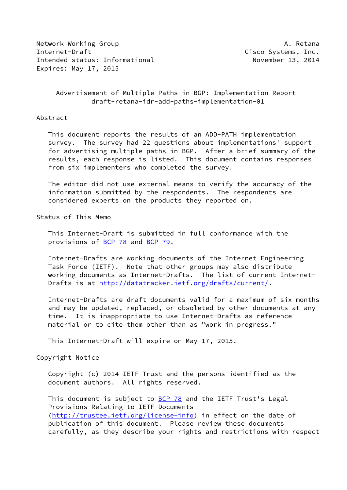Network Working Group **A. Retana** Internet-Draft Cisco Systems, Inc. Intended status: Informational November 13, 2014 Expires: May 17, 2015

## Advertisement of Multiple Paths in BGP: Implementation Report draft-retana-idr-add-paths-implementation-01

#### Abstract

 This document reports the results of an ADD-PATH implementation survey. The survey had 22 questions about implementations' support for advertising multiple paths in BGP. After a brief summary of the results, each response is listed. This document contains responses from six implementers who completed the survey.

 The editor did not use external means to verify the accuracy of the information submitted by the respondents. The respondents are considered experts on the products they reported on.

Status of This Memo

 This Internet-Draft is submitted in full conformance with the provisions of [BCP 78](https://datatracker.ietf.org/doc/pdf/bcp78) and [BCP 79](https://datatracker.ietf.org/doc/pdf/bcp79).

 Internet-Drafts are working documents of the Internet Engineering Task Force (IETF). Note that other groups may also distribute working documents as Internet-Drafts. The list of current Internet- Drafts is at<http://datatracker.ietf.org/drafts/current/>.

 Internet-Drafts are draft documents valid for a maximum of six months and may be updated, replaced, or obsoleted by other documents at any time. It is inappropriate to use Internet-Drafts as reference material or to cite them other than as "work in progress."

This Internet-Draft will expire on May 17, 2015.

Copyright Notice

 Copyright (c) 2014 IETF Trust and the persons identified as the document authors. All rights reserved.

This document is subject to **[BCP 78](https://datatracker.ietf.org/doc/pdf/bcp78)** and the IETF Trust's Legal Provisions Relating to IETF Documents [\(http://trustee.ietf.org/license-info](http://trustee.ietf.org/license-info)) in effect on the date of publication of this document. Please review these documents carefully, as they describe your rights and restrictions with respect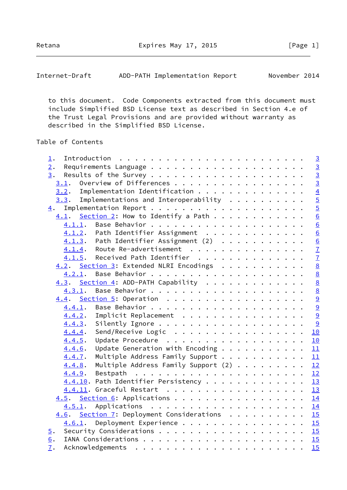Retana **Expires May 17, 2015** [Page 1]

Internet-Draft ADD-PATH Implementation Report November 2014

 to this document. Code Components extracted from this document must include Simplified BSD License text as described in Section 4.e of the Trust Legal Provisions and are provided without warranty as described in the Simplified BSD License.

# Table of Contents

| $\perp$ .        |        |                                                  |  |  | $\overline{3}$  |
|------------------|--------|--------------------------------------------------|--|--|-----------------|
| 2.               |        |                                                  |  |  | $\overline{3}$  |
| 3.               |        |                                                  |  |  | $\overline{3}$  |
|                  |        | $\underline{3.1}$ . Overview of Differences      |  |  | $\overline{3}$  |
|                  |        | 3.2. Implementation Identification               |  |  | $\overline{4}$  |
|                  |        | $3.3$ . Implementations and Interoperability     |  |  | $\overline{5}$  |
| $\overline{4}$ . |        |                                                  |  |  | $\overline{5}$  |
|                  |        | $4.1.$ Section 2: How to Identify a Path         |  |  | $\overline{6}$  |
|                  | 4.1.1. |                                                  |  |  | 6               |
|                  |        | 4.1.2. Path Identifier Assignment                |  |  | 6               |
|                  |        | $4.1.3$ . Path Identifier Assignment (2)         |  |  | 6               |
|                  |        | 4.1.4. Route Re-advertisement                    |  |  | $\overline{1}$  |
|                  | 4.1.5. | Received Path Identifier                         |  |  | $\overline{1}$  |
|                  |        | 4.2. Section 3: Extended NLRI Encodings          |  |  | 8               |
|                  | 4.2.1. |                                                  |  |  | 8               |
|                  |        | 4.3. Section 4: ADD-PATH Capability              |  |  | $\underline{8}$ |
|                  | 4.3.1. |                                                  |  |  | $\underline{8}$ |
|                  |        |                                                  |  |  | $\overline{9}$  |
|                  | 4.4.1. |                                                  |  |  | $\overline{9}$  |
|                  | 4.4.2. | Implicit Replacement $\frac{9}{9}$               |  |  |                 |
|                  | 4.4.3. |                                                  |  |  | <u>9</u>        |
|                  | 4.4.4. | Send/Receive Logic                               |  |  | 10              |
|                  | 4.4.5. | Update Procedure                                 |  |  | 10              |
|                  | 4.4.6. | Update Generation with Encoding $\underline{11}$ |  |  |                 |
|                  | 4.4.7. | Multiple Address Family Support 11               |  |  |                 |
|                  | 4.4.8. | Multiple Address Family Support $(2)$ 12         |  |  |                 |
|                  | 4.4.9. |                                                  |  |  |                 |
|                  |        | 4.4.10. Path Identifier Persistency 13           |  |  |                 |
|                  |        | 4.4.11. Graceful Restart 13                      |  |  |                 |
|                  |        | 4.5. Section 6: Applications 14                  |  |  |                 |
|                  |        |                                                  |  |  |                 |
|                  |        | 4.6. Section 7: Deployment Considerations 15     |  |  |                 |
|                  |        | 4.6.1. Deployment Experience 15                  |  |  |                 |
| $\overline{5}$ . |        |                                                  |  |  |                 |
| 6.               |        |                                                  |  |  |                 |
| 7.               |        |                                                  |  |  | 15              |
|                  |        |                                                  |  |  |                 |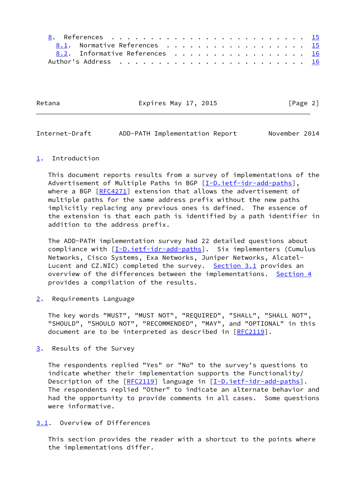| 8.1. Normative References 15   |  |  |  |  |  |  |  |  |  |
|--------------------------------|--|--|--|--|--|--|--|--|--|
| 8.2. Informative References 16 |  |  |  |  |  |  |  |  |  |
|                                |  |  |  |  |  |  |  |  |  |

Retana **Expires May 17, 2015** [Page 2]

<span id="page-2-1"></span>Internet-Draft ADD-PATH Implementation Report November 2014

### <span id="page-2-0"></span>[1](#page-2-0). Introduction

 This document reports results from a survey of implementations of the Advertisement of Multiple Paths in BGP [\[I-D.ietf-idr-add-paths](#page-16-5)], where a BGP [\[RFC4271](https://datatracker.ietf.org/doc/pdf/rfc4271)] extension that allows the advertisement of multiple paths for the same address prefix without the new paths implicitly replacing any previous ones is defined. The essence of the extension is that each path is identified by a path identifier in addition to the address prefix.

 The ADD-PATH implementation survey had 22 detailed questions about compliance with [\[I-D.ietf-idr-add-paths](#page-16-5)]. Six implementers (Cumulus Networks, Cisco Systems, Exa Networks, Juniper Networks, Alcatel- Lucent and CZ.NIC) completed the survey. [Section 3.1](#page-2-4) provides an overview of the differences between the implementations. [Section 4](#page-5-1) provides a compilation of the results.

<span id="page-2-2"></span>[2](#page-2-2). Requirements Language

 The key words "MUST", "MUST NOT", "REQUIRED", "SHALL", "SHALL NOT", "SHOULD", "SHOULD NOT", "RECOMMENDED", "MAY", and "OPTIONAL" in this document are to be interpreted as described in [\[RFC2119](https://datatracker.ietf.org/doc/pdf/rfc2119)].

<span id="page-2-3"></span>[3](#page-2-3). Results of the Survey

 The respondents replied "Yes" or "No" to the survey's questions to indicate whether their implementation supports the Functionality/ Description of the [[RFC2119\]](https://datatracker.ietf.org/doc/pdf/rfc2119) language in [\[I-D.ietf-idr-add-paths](#page-16-5)]. The respondents replied "Other" to indicate an alternate behavior and had the opportunity to provide comments in all cases. Some questions were informative.

### <span id="page-2-4"></span>[3.1](#page-2-4). Overview of Differences

 This section provides the reader with a shortcut to the points where the implementations differ.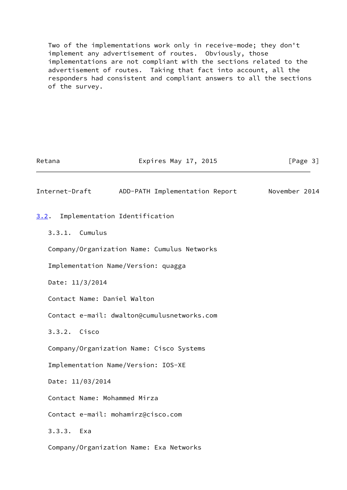Two of the implementations work only in receive-mode; they don't implement any advertisement of routes. Obviously, those implementations are not compliant with the sections related to the advertisement of routes. Taking that fact into account, all the responders had consistent and compliant answers to all the sections of the survey.

<span id="page-3-1"></span><span id="page-3-0"></span>

| Retana                       | Expires May 17, 2015                        | [Page 3]      |
|------------------------------|---------------------------------------------|---------------|
| Internet-Draft               | ADD-PATH Implementation Report              | November 2014 |
| 3.2.                         | Implementation Identification               |               |
| 3.3.1. Cumulus               |                                             |               |
|                              | Company/Organization Name: Cumulus Networks |               |
|                              | Implementation Name/Version: quagga         |               |
| Date: 11/3/2014              |                                             |               |
| Contact Name: Daniel Walton  |                                             |               |
|                              | Contact e-mail: dwalton@cumulusnetworks.com |               |
| 3.3.2. Cisco                 |                                             |               |
|                              | Company/Organization Name: Cisco Systems    |               |
|                              | Implementation Name/Version: IOS-XE         |               |
| Date: 11/03/2014             |                                             |               |
| Contact Name: Mohammed Mirza |                                             |               |
|                              | Contact e-mail: mohamirz@cisco.com          |               |
| $3.3.3.$ Exa                 |                                             |               |
|                              | Company/Organization Name: Exa Networks     |               |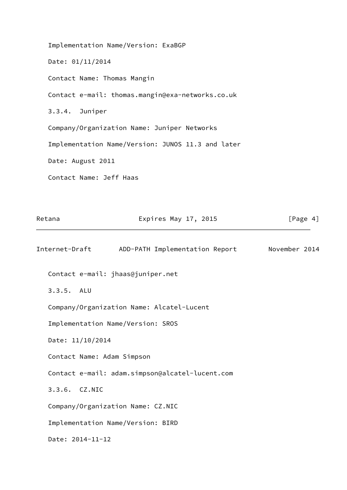Implementation Name/Version: ExaBGP Date: 01/11/2014 Contact Name: Thomas Mangin Contact e-mail: thomas.mangin@exa-networks.co.uk 3.3.4. Juniper Company/Organization Name: Juniper Networks Implementation Name/Version: JUNOS 11.3 and later Date: August 2011 Contact Name: Jeff Haas

<span id="page-4-0"></span>

| Retana                     | Expires May 17, 2015                            | [Page $4$ ]   |
|----------------------------|-------------------------------------------------|---------------|
| Internet-Draft             | ADD-PATH Implementation Report                  | November 2014 |
|                            | Contact e-mail: jhaas@juniper.net               |               |
| $3.3.5.$ ALU               |                                                 |               |
|                            | Company/Organization Name: Alcatel-Lucent       |               |
|                            | Implementation Name/Version: SROS               |               |
| Date: 11/10/2014           |                                                 |               |
| Contact Name: Adam Simpson |                                                 |               |
|                            | Contact e-mail: adam.simpson@alcatel-lucent.com |               |
| 3.3.6. CZ.NIC              |                                                 |               |
|                            | Company/Organization Name: CZ.NIC               |               |
|                            | Implementation Name/Version: BIRD               |               |
| Date: 2014-11-12           |                                                 |               |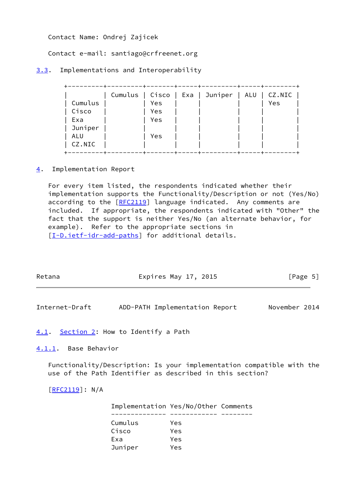Contact Name: Ondrej Zajicek

Contact e-mail: santiago@crfreenet.org

<span id="page-5-0"></span>[3.3](#page-5-0). Implementations and Interoperability

|         |     | Cumulus   Cisco   Exa   Juniper | ALU | CZ.NIC |
|---------|-----|---------------------------------|-----|--------|
| Cumulus | Yes |                                 |     | Yes    |
| Cisco   | Yes |                                 |     |        |
| Exa     | Yes |                                 |     |        |
| Juniper |     |                                 |     |        |
| ALU     | Yes |                                 |     |        |
| CZ.NIC  |     |                                 |     |        |
|         |     |                                 |     |        |

<span id="page-5-1"></span>[4](#page-5-1). Implementation Report

 For every item listed, the respondents indicated whether their implementation supports the Functionality/Description or not (Yes/No) according to the [\[RFC2119](https://datatracker.ietf.org/doc/pdf/rfc2119)] language indicated. Any comments are included. If appropriate, the respondents indicated with "Other" the fact that the support is neither Yes/No (an alternate behavior, for example). Refer to the appropriate sections in [\[I-D.ietf-idr-add-paths](#page-16-5)] for additional details.

<span id="page-5-3"></span>

| Retana               | Expires May 17, 2015                                                                                                                                                                                                             | [Page 5]      |
|----------------------|----------------------------------------------------------------------------------------------------------------------------------------------------------------------------------------------------------------------------------|---------------|
| Internet-Draft       | ADD-PATH Implementation Report                                                                                                                                                                                                   | November 2014 |
|                      | 4.1. Section 2: How to Identify a Path                                                                                                                                                                                           |               |
| 4.1.1. Base Behavior |                                                                                                                                                                                                                                  |               |
|                      | $\mathbf{r}$ , and the set of the set of the set of the set of the set of the set of the set of the set of the set of the set of the set of the set of the set of the set of the set of the set of the set of the set of the set |               |

<span id="page-5-4"></span><span id="page-5-2"></span> Functionality/Description: Is your implementation compatible with the use of the Path Identifier as described in this section?

 $[RFC2119]$ : N/A

| Implementation Yes/No/Other Comments |     |  |
|--------------------------------------|-----|--|
|                                      |     |  |
| Cumulus                              | Yes |  |
| Cisco                                | Yes |  |
| Exa                                  | Yes |  |
| Juniper                              | Yes |  |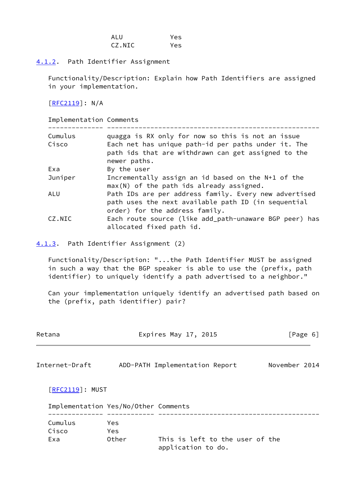| ALU    | Yes |
|--------|-----|
| CZ.NIC | Yes |

<span id="page-6-0"></span>[4.1.2](#page-6-0). Path Identifier Assignment

 Functionality/Description: Explain how Path Identifiers are assigned in your implementation.

[\[RFC2119](https://datatracker.ietf.org/doc/pdf/rfc2119)]: N/A

| Implementation Comments |                                                                                                                                                |
|-------------------------|------------------------------------------------------------------------------------------------------------------------------------------------|
| Cumulus                 | quagga is RX only for now so this is not an issue                                                                                              |
| Cisco                   | Each net has unique path-id per paths under it. The<br>path ids that are withdrawn can get assigned to the<br>newer paths.                     |
| Exa                     | By the user                                                                                                                                    |
| Juniper                 | Incrementally assign an id based on the N+1 of the<br>$max(N)$ of the path ids already assigned.                                               |
| ALU                     | Path IDs are per address family. Every new advertised<br>path uses the next available path ID (in sequential<br>order) for the address family. |
| CZ.NIC                  | Each route source (like add_path-unaware BGP peer) has<br>allocated fixed path id.                                                             |

<span id="page-6-1"></span>[4.1.3](#page-6-1). Path Identifier Assignment (2)

 Functionality/Description: "...the Path Identifier MUST be assigned in such a way that the BGP speaker is able to use the (prefix, path identifier) to uniquely identify a path advertised to a neighbor."

 Can your implementation uniquely identify an advertised path based on the (prefix, path identifier) pair?

<span id="page-6-2"></span>

| Retana                  |                                      | Expires May 17, 2015                                  | [Page 6]      |
|-------------------------|--------------------------------------|-------------------------------------------------------|---------------|
| Internet-Draft          |                                      | ADD-PATH Implementation Report                        | November 2014 |
| $[REC2119]$ : MUST      |                                      |                                                       |               |
|                         | Implementation Yes/No/Other Comments |                                                       |               |
| Cumulus<br>Cisco<br>Exa | Yes<br>Yes<br>Other                  | This is left to the user of the<br>application to do. |               |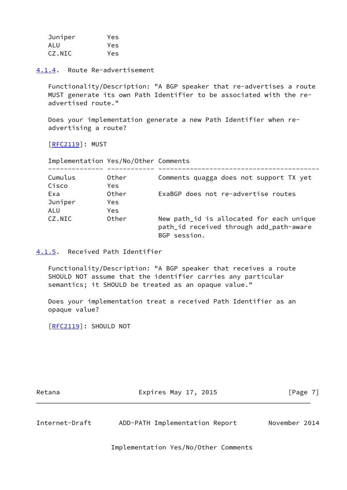| Juniper | Yes |
|---------|-----|
| ALU     | Yes |
| CZ.NIC  | Yes |

<span id="page-7-0"></span>[4.1.4](#page-7-0). Route Re-advertisement

 Functionality/Description: "A BGP speaker that re-advertises a route MUST generate its own Path Identifier to be associated with the re advertised route."

 Does your implementation generate a new Path Identifier when re advertising a route?

[\[RFC2119](https://datatracker.ietf.org/doc/pdf/rfc2119)]: MUST

Implementation Yes/No/Other Comments

| Cumulus<br>Cisco | Other<br>Yes. | Comments quagga does not support TX yet                                                             |
|------------------|---------------|-----------------------------------------------------------------------------------------------------|
| Exa              | Other         | ExaBGP does not re-advertise routes                                                                 |
| Juniper<br>ALU   | Yes.<br>Yes.  |                                                                                                     |
| CZ.NIC           | Other         | New path_id is allocated for each unique<br>path_id received through add_path-aware<br>BGP session. |

<span id="page-7-1"></span>[4.1.5](#page-7-1). Received Path Identifier

 Functionality/Description: "A BGP speaker that receives a route SHOULD NOT assume that the identifier carries any particular semantics; it SHOULD be treated as an opaque value."

 Does your implementation treat a received Path Identifier as an opaque value?

[\[RFC2119](https://datatracker.ietf.org/doc/pdf/rfc2119)]: SHOULD NOT

Retana **Expires May 17, 2015** Expires May 17, 2015

<span id="page-7-2"></span>Internet-Draft ADD-PATH Implementation Report November 2014

Implementation Yes/No/Other Comments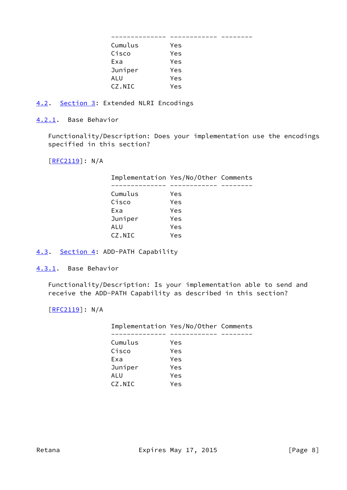| Cumulus | Yes |  |
|---------|-----|--|
| Cisco   | Yes |  |
| Exa     | Yes |  |
| Juniper | Yes |  |
| ALU     | Yes |  |
| CZ.NIC  | Yes |  |

<span id="page-8-0"></span>[4.2](#page-8-0). [Section 3:](#page-2-3) Extended NLRI Encodings

<span id="page-8-1"></span>[4.2.1](#page-8-1). Base Behavior

 Functionality/Description: Does your implementation use the encodings specified in this section?

[\[RFC2119](https://datatracker.ietf.org/doc/pdf/rfc2119)]: N/A

| Implementation Yes/No/Other Comments |     |  |
|--------------------------------------|-----|--|
|                                      |     |  |
| Cumulus                              | Yes |  |
| Cisco                                | Yes |  |
| Exa                                  | Yes |  |
| Juniper                              | Yes |  |
| ALU                                  | Yes |  |
| CZ.NIC                               | Yes |  |

# <span id="page-8-2"></span>[4.3](#page-8-2). [Section 4:](#page-5-1) ADD-PATH Capability

<span id="page-8-3"></span>[4.3.1](#page-8-3). Base Behavior

 Functionality/Description: Is your implementation able to send and receive the ADD-PATH Capability as described in this section?

[\[RFC2119](https://datatracker.ietf.org/doc/pdf/rfc2119)]: N/A

| Implementation Yes/No/Other Comments |     |  |
|--------------------------------------|-----|--|
|                                      |     |  |
| Cumulus                              | Yes |  |
| Cisco                                | Yes |  |
| Exa                                  | Yes |  |
| Juniper                              | Yes |  |
| ALU                                  | Yes |  |
| CZ.NIC                               | Yes |  |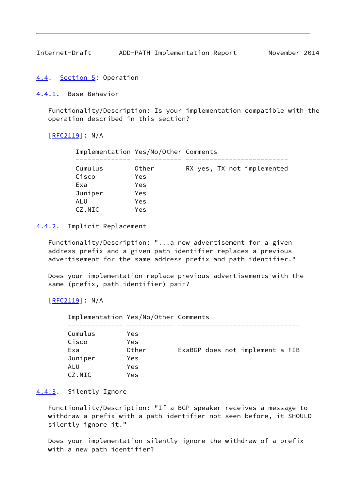<span id="page-9-1"></span>Internet-Draft ADD-PATH Implementation Report November 2014

<span id="page-9-0"></span>[4.4](#page-9-0). [Section 5:](#page-16-0) Operation

<span id="page-9-2"></span>[4.4.1](#page-9-2). Base Behavior

 Functionality/Description: Is your implementation compatible with the operation described in this section?

[\[RFC2119](https://datatracker.ietf.org/doc/pdf/rfc2119)]: N/A

| Implementation Yes/No/Other Comments |       |                            |
|--------------------------------------|-------|----------------------------|
|                                      |       |                            |
| Cumulus                              | Other | RX yes, TX not implemented |
| Cisco                                | Yes   |                            |
| Exa                                  | Yes   |                            |
| Juniper                              | Yes   |                            |
| ALU                                  | Yes   |                            |
| CZ.NIC                               | Yes   |                            |

<span id="page-9-3"></span>[4.4.2](#page-9-3). Implicit Replacement

 Functionality/Description: "...a new advertisement for a given address prefix and a given path identifier replaces a previous advertisement for the same address prefix and path identifier."

 Does your implementation replace previous advertisements with the same (prefix, path identifier) pair?

[\[RFC2119](https://datatracker.ietf.org/doc/pdf/rfc2119)]: N/A

| Implementation Yes/No/Other Comments |            |                                 |
|--------------------------------------|------------|---------------------------------|
|                                      |            |                                 |
| Cumulus                              | Yes.       |                                 |
| Cisco                                | <b>Yes</b> |                                 |
| Exa                                  | Other      | ExaBGP does not implement a FIB |
| Juniper                              | <b>Yes</b> |                                 |
| ALU                                  | Yes        |                                 |
| CZ.NIC                               | Yes        |                                 |

# <span id="page-9-4"></span>[4.4.3](#page-9-4). Silently Ignore

 Functionality/Description: "If a BGP speaker receives a message to withdraw a prefix with a path identifier not seen before, it SHOULD silently ignore it."

 Does your implementation silently ignore the withdraw of a prefix with a new path identifier?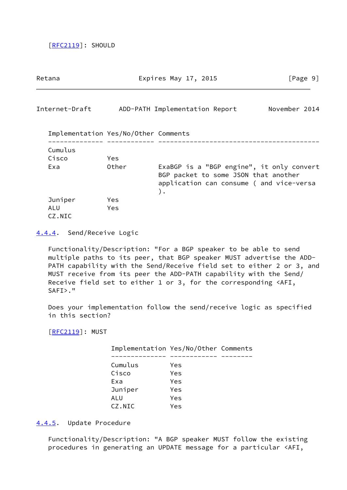[\[RFC2119](https://datatracker.ietf.org/doc/pdf/rfc2119)]: SHOULD

<span id="page-10-1"></span>

| Retana                               |            | Expires May 17, 2015                                                                                                                  | [Page 9]      |
|--------------------------------------|------------|---------------------------------------------------------------------------------------------------------------------------------------|---------------|
| Internet-Draft                       |            | ADD-PATH Implementation Report                                                                                                        | November 2014 |
| Implementation Yes/No/Other Comments |            |                                                                                                                                       |               |
| Cumulus                              |            |                                                                                                                                       |               |
| Cisco                                | <b>Yes</b> |                                                                                                                                       |               |
| Exa                                  | Other      | ExaBGP is a "BGP engine", it only convert<br>BGP packet to some JSON that another<br>application can consume (and vice-versa<br>$)$ . |               |
| Juniper<br>ALU<br>CZ.NIC             | Yes<br>Yes |                                                                                                                                       |               |

<span id="page-10-0"></span>[4.4.4](#page-10-0). Send/Receive Logic

 Functionality/Description: "For a BGP speaker to be able to send multiple paths to its peer, that BGP speaker MUST advertise the ADD- PATH capability with the Send/Receive field set to either 2 or 3, and MUST receive from its peer the ADD-PATH capability with the Send/ Receive field set to either 1 or 3, for the corresponding <AFI, SAFI>."

 Does your implementation follow the send/receive logic as specified in this section?

[\[RFC2119](https://datatracker.ietf.org/doc/pdf/rfc2119)]: MUST

| Implementation Yes/No/Other Comments |     |  |
|--------------------------------------|-----|--|
|                                      |     |  |
| Cumulus                              | Yes |  |
| Cisco                                | Yes |  |
| Exa                                  | Yes |  |
| Juniper                              | Yes |  |
| ALU                                  | Yes |  |
| CZ.NIC                               | Yes |  |

<span id="page-10-2"></span>[4.4.5](#page-10-2). Update Procedure

 Functionality/Description: "A BGP speaker MUST follow the existing procedures in generating an UPDATE message for a particular <AFI,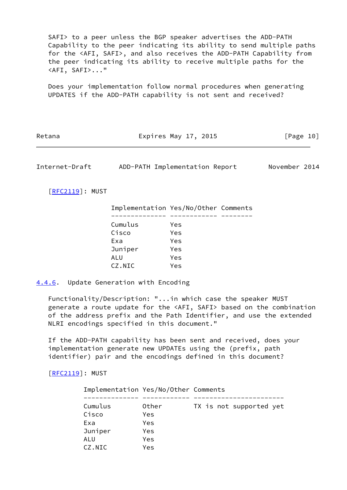SAFI> to a peer unless the BGP speaker advertises the ADD-PATH Capability to the peer indicating its ability to send multiple paths for the <AFI, SAFI>, and also receives the ADD-PATH Capability from the peer indicating its ability to receive multiple paths for the <AFI, SAFI>..."

 Does your implementation follow normal procedures when generating UPDATES if the ADD-PATH capability is not sent and received?

| Retana | Expires May 17, 2015 | [Page 10] |
|--------|----------------------|-----------|
|--------|----------------------|-----------|

<span id="page-11-1"></span>Internet-Draft ADD-PATH Implementation Report November 2014

[\[RFC2119](https://datatracker.ietf.org/doc/pdf/rfc2119)]: MUST

| Implementation Yes/No/Other Comments |     |  |
|--------------------------------------|-----|--|
|                                      |     |  |
| Cumulus                              | Yes |  |
| Cisco                                | Yes |  |
| Exa                                  | Yes |  |
| Juniper                              | Yes |  |
| <b>ALU</b>                           | Yes |  |
| CZ.NIC                               | Yes |  |

<span id="page-11-0"></span>[4.4.6](#page-11-0). Update Generation with Encoding

 Functionality/Description: "...in which case the speaker MUST generate a route update for the <AFI, SAFI> based on the combination of the address prefix and the Path Identifier, and use the extended NLRI encodings specified in this document."

 If the ADD-PATH capability has been sent and received, does your implementation generate new UPDATEs using the (prefix, path identifier) pair and the encodings defined in this document?

[\[RFC2119](https://datatracker.ietf.org/doc/pdf/rfc2119)]: MUST

| Implementation Yes/No/Other Comments |       |                         |
|--------------------------------------|-------|-------------------------|
| Cumulus                              | Other |                         |
|                                      |       | TX is not supported yet |
| Cisco                                | Yes   |                         |
| Exa                                  | Yes   |                         |
| Juniper                              | Yes   |                         |
| ALU                                  | Yes   |                         |
| CZ.NIC                               | Yes   |                         |
|                                      |       |                         |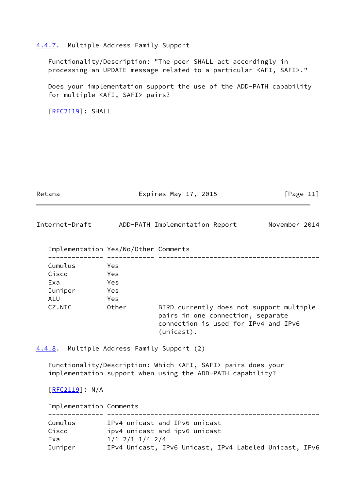#### <span id="page-12-0"></span>[4.4.7](#page-12-0). Multiple Address Family Support

 Functionality/Description: "The peer SHALL act accordingly in processing an UPDATE message related to a particular <AFI, SAFI>."

 Does your implementation support the use of the ADD-PATH capability for multiple <AFI, SAFI> pairs?

[\[RFC2119](https://datatracker.ietf.org/doc/pdf/rfc2119)]: SHALL

Retana **Expires May 17, 2015** [Page 11]

<span id="page-12-2"></span>Internet-Draft ADD-PATH Implementation Report November 2014

| Implementation Yes/No/Other Comments |            |                                                                                                                                        |
|--------------------------------------|------------|----------------------------------------------------------------------------------------------------------------------------------------|
| Cumulus                              | Yes        |                                                                                                                                        |
| Cisco                                | Yes.       |                                                                                                                                        |
| Exa                                  | Yes        |                                                                                                                                        |
| Juniper                              | <b>Yes</b> |                                                                                                                                        |
| ALU.                                 | <b>Yes</b> |                                                                                                                                        |
| CZ.NIC                               | Other      | BIRD currently does not support multiple<br>pairs in one connection, separate<br>connection is used for IPv4 and IPv6<br>$(unicast)$ . |

<span id="page-12-1"></span>[4.4.8](#page-12-1). Multiple Address Family Support (2)

 Functionality/Description: Which <AFI, SAFI> pairs does your implementation support when using the ADD-PATH capability?

[\[RFC2119](https://datatracker.ietf.org/doc/pdf/rfc2119)]: N/A

 Implementation Comments -------------- ------------------------------------------------------

| Cumulus | IPv4 unicast and IPv6 unicast                          |
|---------|--------------------------------------------------------|
| Cisco   | ipv4 unicast and ipv6 unicast                          |
| Exa     | $1/1$ 2/1 1/4 2/4                                      |
| Juniper | IPv4 Unicast, IPv6 Unicast, IPv4 Labeled Unicast, IPv6 |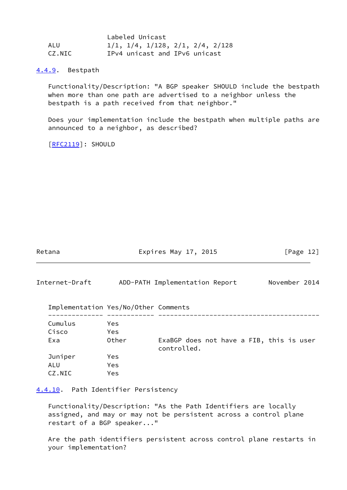|        | Labeled Unicast                  |
|--------|----------------------------------|
| ALU    | 1/1, 1/4, 1/128, 2/1, 2/4, 2/128 |
| CZ.NIC | IPv4 unicast and IPv6 unicast    |

<span id="page-13-0"></span>[4.4.9](#page-13-0). Bestpath

 Functionality/Description: "A BGP speaker SHOULD include the bestpath when more than one path are advertised to a neighbor unless the bestpath is a path received from that neighbor."

 Does your implementation include the bestpath when multiple paths are announced to a neighbor, as described?

[\[RFC2119](https://datatracker.ietf.org/doc/pdf/rfc2119)]: SHOULD

<span id="page-13-2"></span>

| Retana                               | Expires May 17, 2015 |                                                         | [Page $12$ ]  |
|--------------------------------------|----------------------|---------------------------------------------------------|---------------|
| Internet-Draft                       |                      | ADD-PATH Implementation Report                          | November 2014 |
| Implementation Yes/No/Other Comments |                      |                                                         |               |
| Cumulus<br>Cisco                     | Yes<br>Yes           |                                                         |               |
| Exa                                  | Other                | ExaBGP does not have a FIB, this is user<br>controlled. |               |
| Juniper<br>ALU<br>CZ.NIC             | Yes<br>Yes<br>Yes    |                                                         |               |

<span id="page-13-1"></span>[4.4.10](#page-13-1). Path Identifier Persistency

 Functionality/Description: "As the Path Identifiers are locally assigned, and may or may not be persistent across a control plane restart of a BGP speaker..."

 Are the path identifiers persistent across control plane restarts in your implementation?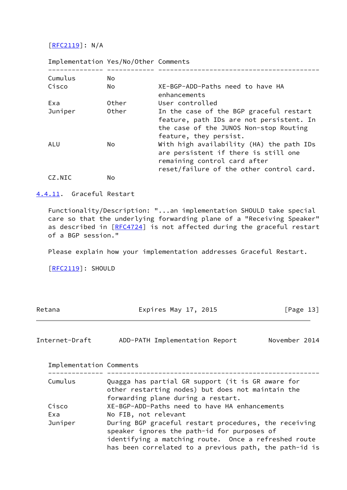[\[RFC2119](https://datatracker.ietf.org/doc/pdf/rfc2119)]: N/A

| Implementation Yes/No/Other Comments |       |                                                                                                                                                              |
|--------------------------------------|-------|--------------------------------------------------------------------------------------------------------------------------------------------------------------|
| Cumulus                              | No.   |                                                                                                                                                              |
| Cisco                                | No.   | XE-BGP-ADD-Paths need to have HA<br>enhancements                                                                                                             |
| Exa                                  | Other | User controlled                                                                                                                                              |
| Juniper                              | Other | In the case of the BGP graceful restart<br>feature, path IDs are not persistent. In<br>the case of the JUNOS Non-stop Routing<br>feature, they persist.      |
| ALU                                  | No.   | With high availability (HA) the path IDs<br>are persistent if there is still one<br>remaining control card after<br>reset/failure of the other control card. |
| CZ.NIC                               | No    |                                                                                                                                                              |

## <span id="page-14-0"></span>[4.4.11](#page-14-0). Graceful Restart

 Functionality/Description: "...an implementation SHOULD take special care so that the underlying forwarding plane of a "Receiving Speaker" as described in [\[RFC4724](https://datatracker.ietf.org/doc/pdf/rfc4724)] is not affected during the graceful restart of a BGP session."

Please explain how your implementation addresses Graceful Restart.

[\[RFC2119](https://datatracker.ietf.org/doc/pdf/rfc2119)]: SHOULD

<span id="page-14-1"></span>

| Retana                  | Expires May 17, 2015                                                                                                                                                                                                   | [Page 13]     |  |
|-------------------------|------------------------------------------------------------------------------------------------------------------------------------------------------------------------------------------------------------------------|---------------|--|
| Internet-Draft          | ADD-PATH Implementation Report                                                                                                                                                                                         | November 2014 |  |
| Implementation Comments |                                                                                                                                                                                                                        |               |  |
| Cumulus                 | Quagga has partial GR support (it is GR aware for<br>other restarting nodes) but does not maintain the<br>forwarding plane during a restart.                                                                           |               |  |
| Cisco                   | XE-BGP-ADD-Paths need to have HA enhancements                                                                                                                                                                          |               |  |
| Exa                     | No FIB, not relevant                                                                                                                                                                                                   |               |  |
| Juniper                 | During BGP graceful restart procedures, the receiving<br>speaker ignores the path-id for purposes of<br>identifying a matching route. Once a refreshed route<br>has been correlated to a previous path, the path-id is |               |  |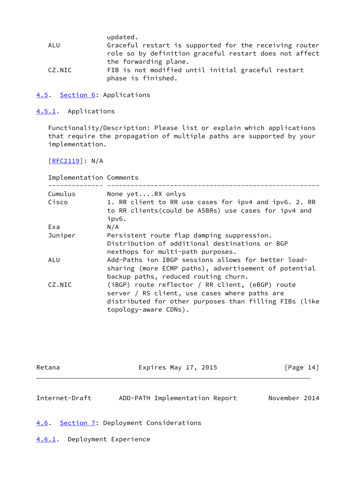|        | updated.                                               |
|--------|--------------------------------------------------------|
| ALU    | Graceful restart is supported for the receiving router |
|        | role so by definition graceful restart does not affect |
|        | the forwarding plane.                                  |
| CZ.NIC | FIB is not modified until initial graceful restart     |
|        | phase is finished.                                     |

<span id="page-15-0"></span>[4.5](#page-15-0). [Section 6:](#page-16-1) Applications

<span id="page-15-1"></span>[4.5.1](#page-15-1). Applications

 Functionality/Description: Please list or explain which applications that require the propagation of multiple paths are supported by your implementation.

 $[REC2119]: N/A$ 

| Implementation Comments |         |                                                                                                                                                                                      |
|-------------------------|---------|--------------------------------------------------------------------------------------------------------------------------------------------------------------------------------------|
|                         | Cumulus | None yetRX onlys                                                                                                                                                                     |
|                         | Cisco   | 1. RR client to RR use cases for ipv4 and ipv6. 2. RR<br>to RR clients (could be ASBRs) use cases for ipv4 and<br>ipv6.                                                              |
|                         | Exa     | N/A                                                                                                                                                                                  |
|                         | Juniper | Persistent route flap damping suppression.<br>Distribution of additional destinations or BGP<br>nexthops for multi-path purposes.                                                    |
| ALU                     |         | Add-Paths ion IBGP sessions allows for better load-<br>sharing (more ECMP paths), advertisement of potential<br>backup paths, reduced routing churn.                                 |
|                         | CZ.NIC  | (iBGP) route reflector / RR client, (eBGP) route<br>server / RS client, use cases where paths are<br>distributed for other purposes than filling FIBs (like<br>topology-aware CDNs). |

<span id="page-15-3"></span>

| Retana         | Expires May 17, 2015                 | [Page 14]     |  |
|----------------|--------------------------------------|---------------|--|
| Internet-Draft | ADD-PATH Implementation Report       | November 2014 |  |
| 4.6.           | Section 7: Deployment Considerations |               |  |

<span id="page-15-4"></span><span id="page-15-2"></span>[4.6.1](#page-15-4). Deployment Experience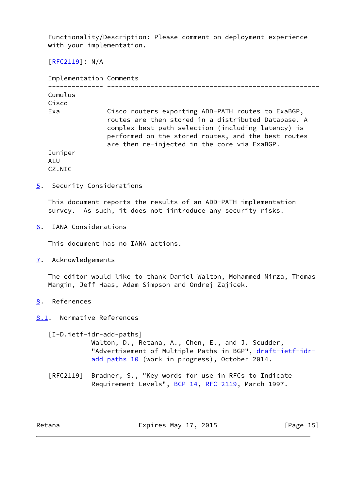Functionality/Description: Please comment on deployment experience with your implementation.

 $[REC2119]$ : N/A

| Implementation Comments  |                                                                                                                                                                                                                                                                        |
|--------------------------|------------------------------------------------------------------------------------------------------------------------------------------------------------------------------------------------------------------------------------------------------------------------|
| Cumulus                  |                                                                                                                                                                                                                                                                        |
| Cisco<br>Exa             | Cisco routers exporting ADD-PATH routes to ExaBGP,<br>routes are then stored in a distributed Database. A<br>complex best path selection (including latency) is<br>performed on the stored routes, and the best routes<br>are then re-injected in the core via ExaBGP. |
| Juniper<br>ALU<br>CZ.NTC |                                                                                                                                                                                                                                                                        |

<span id="page-16-0"></span>[5](#page-16-0). Security Considerations

 This document reports the results of an ADD-PATH implementation survey. As such, it does not iintroduce any security risks.

<span id="page-16-1"></span>[6](#page-16-1). IANA Considerations

This document has no IANA actions.

<span id="page-16-2"></span>[7](#page-16-2). Acknowledgements

 The editor would like to thank Daniel Walton, Mohammed Mirza, Thomas Mangin, Jeff Haas, Adam Simpson and Ondrej Zajicek.

- <span id="page-16-3"></span>[8](#page-16-3). References
- <span id="page-16-4"></span>[8.1](#page-16-4). Normative References

<span id="page-16-5"></span>[I-D.ietf-idr-add-paths]

 Walton, D., Retana, A., Chen, E., and J. Scudder, "Advertisement of Multiple Paths in BGP", [draft-ietf-idr](https://datatracker.ietf.org/doc/pdf/draft-ietf-idr-add-paths-10) [add-paths-10](https://datatracker.ietf.org/doc/pdf/draft-ietf-idr-add-paths-10) (work in progress), October 2014.

 [RFC2119] Bradner, S., "Key words for use in RFCs to Indicate Requirement Levels", [BCP 14](https://datatracker.ietf.org/doc/pdf/bcp14), [RFC 2119](https://datatracker.ietf.org/doc/pdf/rfc2119), March 1997.

Retana **Expires May 17, 2015** [Page 15]